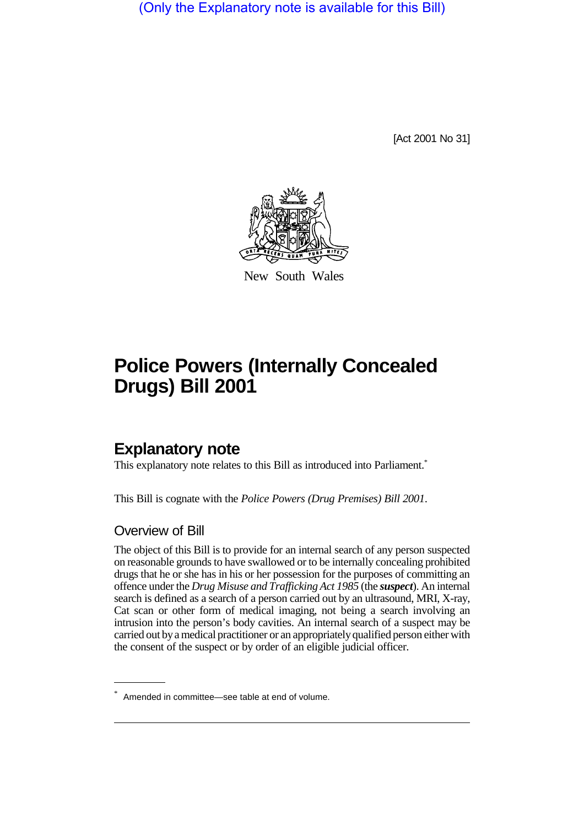(Only the Explanatory note is available for this Bill)

[Act 2001 No 31]



New South Wales

# **Police Powers (Internally Concealed Drugs) Bill 2001**

## **Explanatory note**

This explanatory note relates to this Bill as introduced into Parliament.\*

This Bill is cognate with the *Police Powers (Drug Premises) Bill 2001*.

#### Overview of Bill

The object of this Bill is to provide for an internal search of any person suspected on reasonable grounds to have swallowed or to be internally concealing prohibited drugs that he or she has in his or her possession for the purposes of committing an offence under the *Drug Misuse and Trafficking Act 1985* (the *suspect*). An internal search is defined as a search of a person carried out by an ultrasound, MRI, X-ray, Cat scan or other form of medical imaging, not being a search involving an intrusion into the person's body cavities. An internal search of a suspect may be carried out by a medical practitioner or an appropriately qualified person either with the consent of the suspect or by order of an eligible judicial officer.

<sup>\*</sup> Amended in committee—see table at end of volume.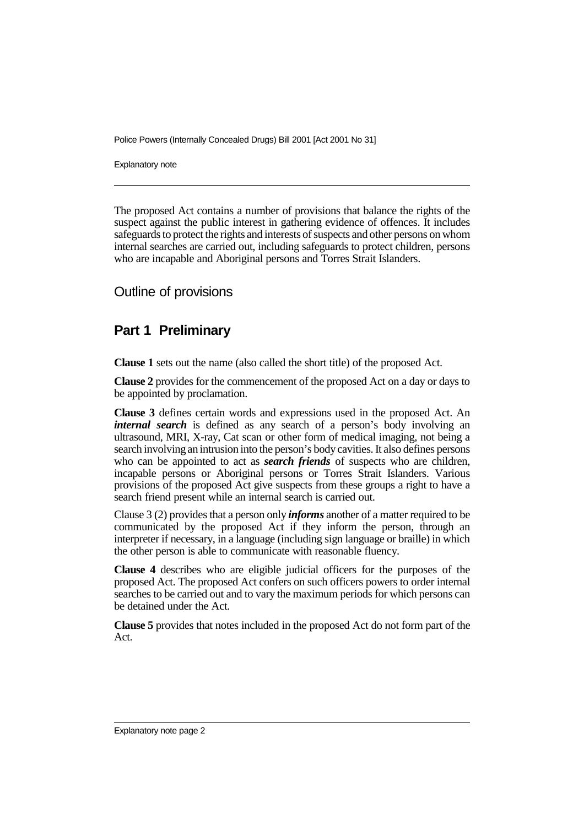Explanatory note

The proposed Act contains a number of provisions that balance the rights of the suspect against the public interest in gathering evidence of offences. It includes safeguards to protect the rights and interests of suspects and other persons on whom internal searches are carried out, including safeguards to protect children, persons who are incapable and Aboriginal persons and Torres Strait Islanders.

#### Outline of provisions

### **Part 1 Preliminary**

**Clause 1** sets out the name (also called the short title) of the proposed Act.

**Clause 2** provides for the commencement of the proposed Act on a day or days to be appointed by proclamation.

**Clause 3** defines certain words and expressions used in the proposed Act. An *internal search* is defined as any search of a person's body involving an ultrasound, MRI, X-ray, Cat scan or other form of medical imaging, not being a search involving an intrusion into the person's body cavities. It also defines persons who can be appointed to act as *search friends* of suspects who are children, incapable persons or Aboriginal persons or Torres Strait Islanders. Various provisions of the proposed Act give suspects from these groups a right to have a search friend present while an internal search is carried out.

Clause 3 (2) provides that a person only *informs* another of a matter required to be communicated by the proposed Act if they inform the person, through an interpreter if necessary, in a language (including sign language or braille) in which the other person is able to communicate with reasonable fluency.

**Clause 4** describes who are eligible judicial officers for the purposes of the proposed Act. The proposed Act confers on such officers powers to order internal searches to be carried out and to vary the maximum periods for which persons can be detained under the Act.

**Clause 5** provides that notes included in the proposed Act do not form part of the Act.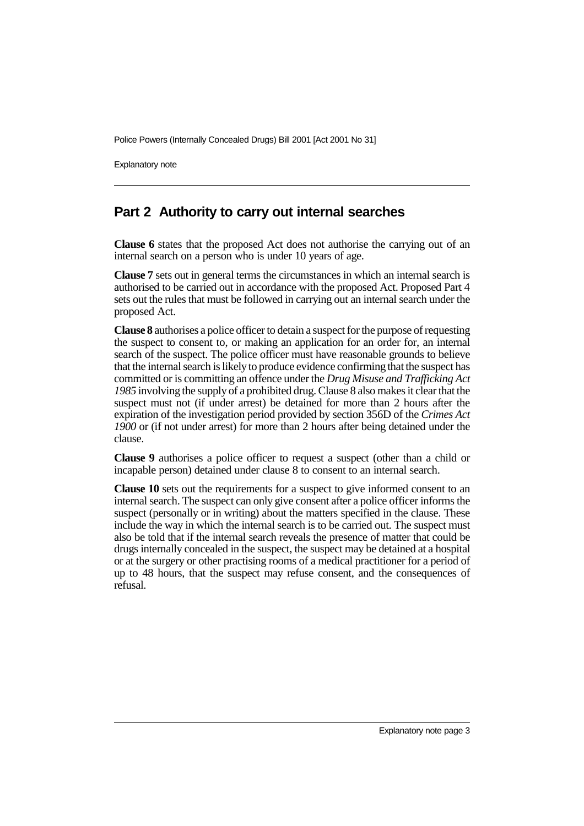Explanatory note

#### **Part 2 Authority to carry out internal searches**

**Clause 6** states that the proposed Act does not authorise the carrying out of an internal search on a person who is under 10 years of age.

**Clause 7** sets out in general terms the circumstances in which an internal search is authorised to be carried out in accordance with the proposed Act. Proposed Part 4 sets out the rules that must be followed in carrying out an internal search under the proposed Act.

**Clause 8** authorises a police officer to detain a suspect for the purpose of requesting the suspect to consent to, or making an application for an order for, an internal search of the suspect. The police officer must have reasonable grounds to believe that the internal search is likely to produce evidence confirming that the suspect has committed or is committing an offence under the *Drug Misuse and Trafficking Act 1985* involving the supply of a prohibited drug. Clause 8 also makes it clear that the suspect must not (if under arrest) be detained for more than 2 hours after the expiration of the investigation period provided by section 356D of the *Crimes Act 1900* or (if not under arrest) for more than 2 hours after being detained under the clause.

**Clause 9** authorises a police officer to request a suspect (other than a child or incapable person) detained under clause 8 to consent to an internal search.

**Clause 10** sets out the requirements for a suspect to give informed consent to an internal search. The suspect can only give consent after a police officer informs the suspect (personally or in writing) about the matters specified in the clause. These include the way in which the internal search is to be carried out. The suspect must also be told that if the internal search reveals the presence of matter that could be drugs internally concealed in the suspect, the suspect may be detained at a hospital or at the surgery or other practising rooms of a medical practitioner for a period of up to 48 hours, that the suspect may refuse consent, and the consequences of refusal.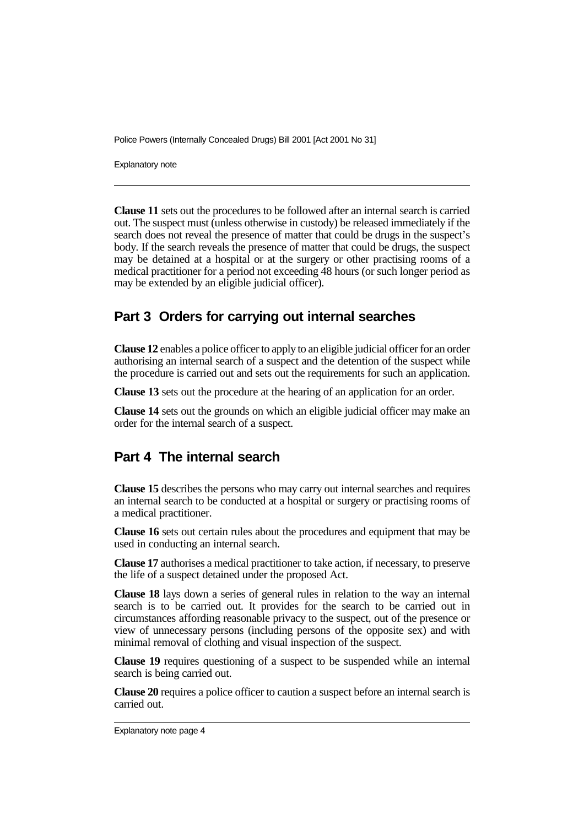Explanatory note

**Clause 11** sets out the procedures to be followed after an internal search is carried out. The suspect must (unless otherwise in custody) be released immediately if the search does not reveal the presence of matter that could be drugs in the suspect's body. If the search reveals the presence of matter that could be drugs, the suspect may be detained at a hospital or at the surgery or other practising rooms of a medical practitioner for a period not exceeding 48 hours (or such longer period as may be extended by an eligible judicial officer).

### **Part 3 Orders for carrying out internal searches**

**Clause 12** enables a police officer to apply to an eligible judicial officer for an order authorising an internal search of a suspect and the detention of the suspect while the procedure is carried out and sets out the requirements for such an application.

**Clause 13** sets out the procedure at the hearing of an application for an order.

**Clause 14** sets out the grounds on which an eligible judicial officer may make an order for the internal search of a suspect.

### **Part 4 The internal search**

**Clause 15** describes the persons who may carry out internal searches and requires an internal search to be conducted at a hospital or surgery or practising rooms of a medical practitioner.

**Clause 16** sets out certain rules about the procedures and equipment that may be used in conducting an internal search.

**Clause 17** authorises a medical practitioner to take action, if necessary, to preserve the life of a suspect detained under the proposed Act.

**Clause 18** lays down a series of general rules in relation to the way an internal search is to be carried out. It provides for the search to be carried out in circumstances affording reasonable privacy to the suspect, out of the presence or view of unnecessary persons (including persons of the opposite sex) and with minimal removal of clothing and visual inspection of the suspect.

**Clause 19** requires questioning of a suspect to be suspended while an internal search is being carried out.

**Clause 20** requires a police officer to caution a suspect before an internal search is carried out.

Explanatory note page 4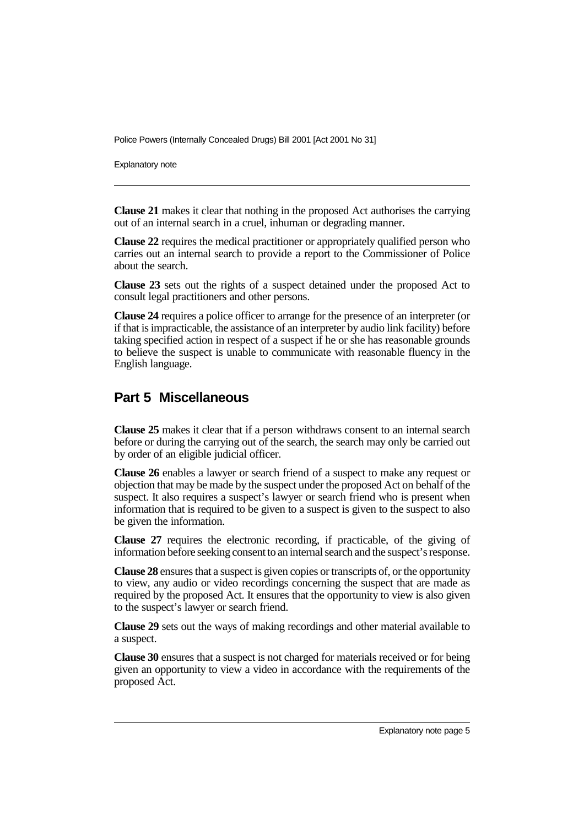Explanatory note

**Clause 21** makes it clear that nothing in the proposed Act authorises the carrying out of an internal search in a cruel, inhuman or degrading manner.

**Clause 22** requires the medical practitioner or appropriately qualified person who carries out an internal search to provide a report to the Commissioner of Police about the search.

**Clause 23** sets out the rights of a suspect detained under the proposed Act to consult legal practitioners and other persons.

**Clause 24** requires a police officer to arrange for the presence of an interpreter (or if that is impracticable, the assistance of an interpreter by audio link facility) before taking specified action in respect of a suspect if he or she has reasonable grounds to believe the suspect is unable to communicate with reasonable fluency in the English language.

### **Part 5 Miscellaneous**

**Clause 25** makes it clear that if a person withdraws consent to an internal search before or during the carrying out of the search, the search may only be carried out by order of an eligible judicial officer.

**Clause 26** enables a lawyer or search friend of a suspect to make any request or objection that may be made by the suspect under the proposed Act on behalf of the suspect. It also requires a suspect's lawyer or search friend who is present when information that is required to be given to a suspect is given to the suspect to also be given the information.

**Clause 27** requires the electronic recording, if practicable, of the giving of information before seeking consent to an internal search and the suspect's response.

**Clause 28** ensures that a suspect is given copies or transcripts of, or the opportunity to view, any audio or video recordings concerning the suspect that are made as required by the proposed Act. It ensures that the opportunity to view is also given to the suspect's lawyer or search friend.

**Clause 29** sets out the ways of making recordings and other material available to a suspect.

**Clause 30** ensures that a suspect is not charged for materials received or for being given an opportunity to view a video in accordance with the requirements of the proposed Act.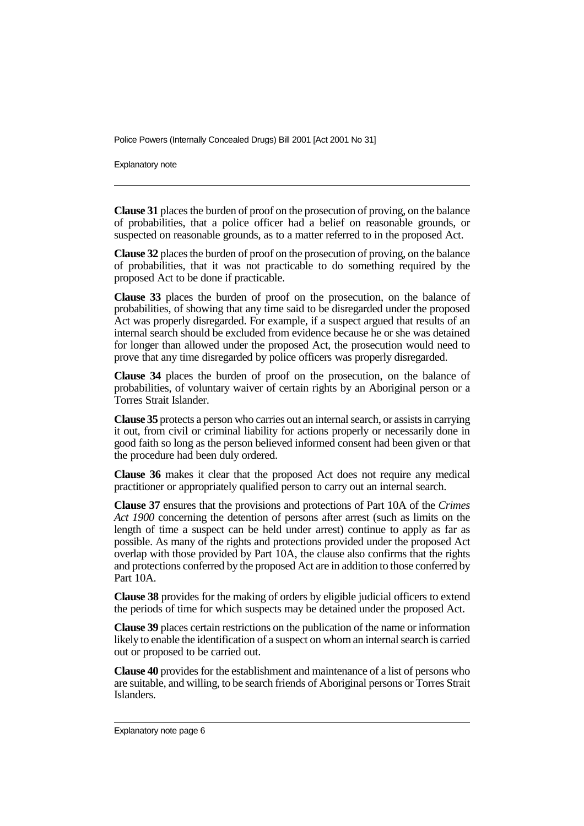Explanatory note

**Clause 31** places the burden of proof on the prosecution of proving, on the balance of probabilities, that a police officer had a belief on reasonable grounds, or suspected on reasonable grounds, as to a matter referred to in the proposed Act.

**Clause 32** places the burden of proof on the prosecution of proving, on the balance of probabilities, that it was not practicable to do something required by the proposed Act to be done if practicable.

**Clause 33** places the burden of proof on the prosecution, on the balance of probabilities, of showing that any time said to be disregarded under the proposed Act was properly disregarded. For example, if a suspect argued that results of an internal search should be excluded from evidence because he or she was detained for longer than allowed under the proposed Act, the prosecution would need to prove that any time disregarded by police officers was properly disregarded.

**Clause 34** places the burden of proof on the prosecution, on the balance of probabilities, of voluntary waiver of certain rights by an Aboriginal person or a Torres Strait Islander.

**Clause 35** protects a person who carries out an internal search, or assists in carrying it out, from civil or criminal liability for actions properly or necessarily done in good faith so long as the person believed informed consent had been given or that the procedure had been duly ordered.

**Clause 36** makes it clear that the proposed Act does not require any medical practitioner or appropriately qualified person to carry out an internal search.

**Clause 37** ensures that the provisions and protections of Part 10A of the *Crimes Act 1900* concerning the detention of persons after arrest (such as limits on the length of time a suspect can be held under arrest) continue to apply as far as possible. As many of the rights and protections provided under the proposed Act overlap with those provided by Part 10A, the clause also confirms that the rights and protections conferred by the proposed Act are in addition to those conferred by Part 10A.

**Clause 38** provides for the making of orders by eligible judicial officers to extend the periods of time for which suspects may be detained under the proposed Act.

**Clause 39** places certain restrictions on the publication of the name or information likely to enable the identification of a suspect on whom an internal search is carried out or proposed to be carried out.

**Clause 40** provides for the establishment and maintenance of a list of persons who are suitable, and willing, to be search friends of Aboriginal persons or Torres Strait Islanders.